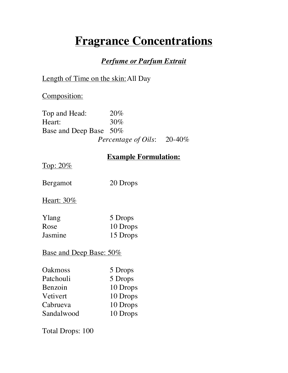# **Fragrance Concentrations**

### *Perfume or Parfum Extrait*

# Length of Time on the skin:All Day

Composition:

Top and Head: 20% Heart: 30% Base and Deep Base 50% *Percentage of Oils*: 20-40%

## **Example Formulation:**

Top: 20%

Bergamot 20 Drops

Heart: 30%

| Ylang   | 5 Drops  |
|---------|----------|
| Rose    | 10 Drops |
| Jasmine | 15 Drops |

Base and Deep Base: 50%

| Oakmoss    | 5 Drops  |
|------------|----------|
| Patchouli  | 5 Drops  |
| Benzoin    | 10 Drops |
| Vetivert   | 10 Drops |
| Cabrueva   | 10 Drops |
| Sandalwood | 10 Drops |

Total Drops: 100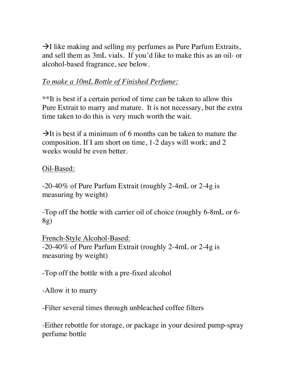$\rightarrow$ I like making and selling my perfumes as Pure Parfum Extraits, and sell them as 3mL vials. If you'd like to make this as an oil- or alcohol-based fragrance, see below.

# *To make a 10mL Bottle of Finished Perfume:*

\*\*It is best if a certain period of time can be taken to allow this Pure Extrait to marry and mature. It is not necessary, but the extra time taken to do this is very much worth the wait.

 $\rightarrow$ It is best if a minimum of 6 months can be taken to mature the composition. If I am short on time, 1-2 days will work; and 2 weeks would be even better.

Oil-Based:

-20-40% of Pure Parfum Extrait (roughly 2-4mL or 2-4g is measuring by weight)

-Top off the bottle with carrier oil of choice (roughly 6-8mL or 6- 8g)

French-Style Alcohol-Based: -20-40% of Pure Parfum Extrait (roughly 2-4mL or 2-4g is measuring by weight)

-Top off the bottle with a pre-fixed alcohol

-Allow it to marry

-Filter several times through unbleached coffee filters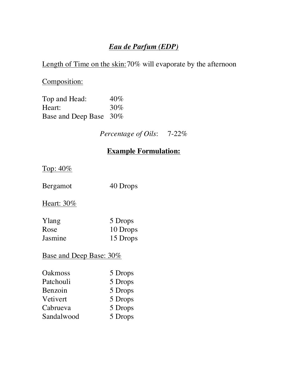# *Eau de Parfum (EDP)*

Length of Time on the skin: 70% will evaporate by the afternoon

Composition:

| Top and Head:          | 40%    |
|------------------------|--------|
| Heart:                 | $30\%$ |
| Base and Deep Base 30% |        |

*Percentage of Oils*: 7-22%

# **Example Formulation:**

Top: 40%

Bergamot 40 Drops

Heart: 30%

| Ylang   | 5 Drops  |
|---------|----------|
| Rose    | 10 Drops |
| Jasmine | 15 Drops |

# Base and Deep Base: 30%

| <b>Oakmoss</b> | 5 Drops |
|----------------|---------|
| Patchouli      | 5 Drops |
| Benzoin        | 5 Drops |
| Vetivert       | 5 Drops |
| Cabrueva       | 5 Drops |
| Sandalwood     | 5 Drops |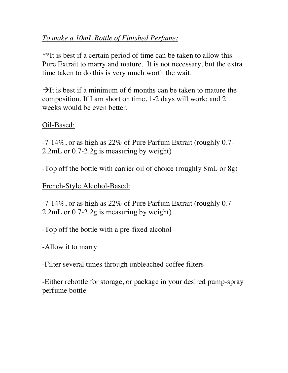# *To make a 10mL Bottle of Finished Perfume:*

\*\*It is best if a certain period of time can be taken to allow this Pure Extrait to marry and mature. It is not necessary, but the extra time taken to do this is very much worth the wait.

 $\rightarrow$ It is best if a minimum of 6 months can be taken to mature the composition. If I am short on time, 1-2 days will work; and 2 weeks would be even better.

Oil-Based:

-7-14%, or as high as 22% of Pure Parfum Extrait (roughly 0.7- 2.2mL or 0.7-2.2g is measuring by weight)

-Top off the bottle with carrier oil of choice (roughly 8mL or 8g)

French-Style Alcohol-Based:

-7-14%, or as high as 22% of Pure Parfum Extrait (roughly 0.7- 2.2mL or 0.7-2.2g is measuring by weight)

-Top off the bottle with a pre-fixed alcohol

-Allow it to marry

-Filter several times through unbleached coffee filters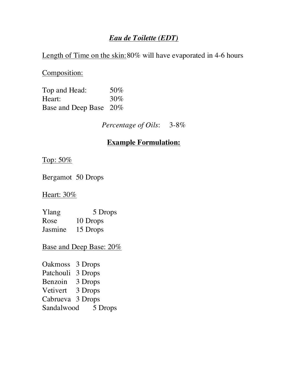## *Eau de Toilette (EDT)*

#### Length of Time on the skin: 80% will have evaporated in 4-6 hours

Composition:

Top and Head: 50% Heart:  $30\%$ Base and Deep Base 20%

*Percentage of Oils*: 3-8%

# **Example Formulation:**

Top: 50%

Bergamot 50 Drops

Heart: 30%

Ylang 5 Drops Rose 10 Drops Jasmine 15 Drops

Base and Deep Base: 20%

Oakmoss 3 Drops Patchouli 3 Drops Benzoin 3 Drops Vetivert 3 Drops Cabrueva 3 Drops Sandalwood 5 Drops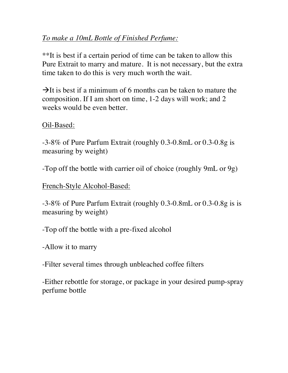# *To make a 10mL Bottle of Finished Perfume:*

\*\*It is best if a certain period of time can be taken to allow this Pure Extrait to marry and mature. It is not necessary, but the extra time taken to do this is very much worth the wait.

 $\rightarrow$ It is best if a minimum of 6 months can be taken to mature the composition. If I am short on time, 1-2 days will work; and 2 weeks would be even better.

Oil-Based:

-3-8% of Pure Parfum Extrait (roughly 0.3-0.8mL or 0.3-0.8g is measuring by weight)

-Top off the bottle with carrier oil of choice (roughly 9mL or 9g)

French-Style Alcohol-Based:

-3-8% of Pure Parfum Extrait (roughly 0.3-0.8mL or 0.3-0.8g is is measuring by weight)

-Top off the bottle with a pre-fixed alcohol

-Allow it to marry

-Filter several times through unbleached coffee filters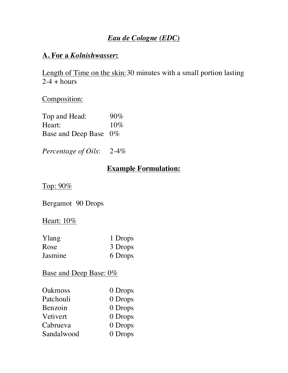# *Eau de Cologne (EDC)*

# **A. For a** *Kolnishwasser***:**

Length of Time on the skin: 30 minutes with a small portion lasting  $2-4 + hours$ 

Composition:

| Top and Head:            | $90\%$ |
|--------------------------|--------|
| Heart:                   | $10\%$ |
| Base and Deep Base $0\%$ |        |

*Percentage of Oils*: 2-4%

# **Example Formulation:**

Top: 90%

Bergamot 90 Drops

#### Heart: 10%

| Ylang   | 1 Drops |
|---------|---------|
| Rose    | 3 Drops |
| Jasmine | 6 Drops |

# Base and Deep Base: 0%

| <b>Oakmoss</b> | 0 Drops |
|----------------|---------|
| Patchouli      | 0 Drops |
| Benzoin        | 0 Drops |
| Vetivert       | 0 Drops |
| Cabrueva       | 0 Drops |
| Sandalwood     | 0 Drops |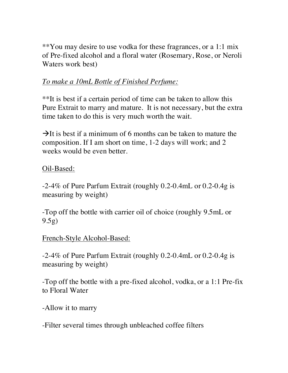\*\*You may desire to use vodka for these fragrances, or a 1:1 mix of Pre-fixed alcohol and a floral water (Rosemary, Rose, or Neroli Waters work best)

# *To make a 10mL Bottle of Finished Perfume:*

\*\*It is best if a certain period of time can be taken to allow this Pure Extrait to marry and mature. It is not necessary, but the extra time taken to do this is very much worth the wait.

 $\rightarrow$ It is best if a minimum of 6 months can be taken to mature the composition. If I am short on time, 1-2 days will work; and 2 weeks would be even better.

## Oil-Based:

-2-4% of Pure Parfum Extrait (roughly 0.2-0.4mL or 0.2-0.4g is measuring by weight)

-Top off the bottle with carrier oil of choice (roughly 9.5mL or 9.5g)

#### French-Style Alcohol-Based:

-2-4% of Pure Parfum Extrait (roughly 0.2-0.4mL or 0.2-0.4g is measuring by weight)

-Top off the bottle with a pre-fixed alcohol, vodka, or a 1:1 Pre-fix to Floral Water

-Allow it to marry

-Filter several times through unbleached coffee filters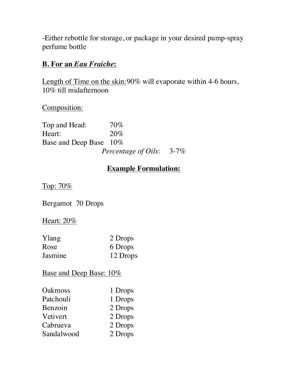-Either rebottle for storage, or package in your desired pump-spray perfume bottle

#### **B. For an** *Eau Fraiche***:**

Length of Time on the skin: 90% will evaporate within 4-6 hours, 10% till midafternoon

Composition:

Top and Head:  $70\%$ Heart: 20% Base and Deep Base 10% *Percentage of Oils*: 3-7%

# **Example Formulation:**

Top: 70%

Bergamot 70 Drops

#### Heart: 20%

| Ylang   | 2 Drops  |
|---------|----------|
| Rose    | 6 Drops  |
| Jasmine | 12 Drops |

# Base and Deep Base:  $10\%$

| 1 Drops |
|---------|
| 1 Drops |
| 2 Drops |
| 2 Drops |
| 2 Drops |
| 2 Drops |
|         |